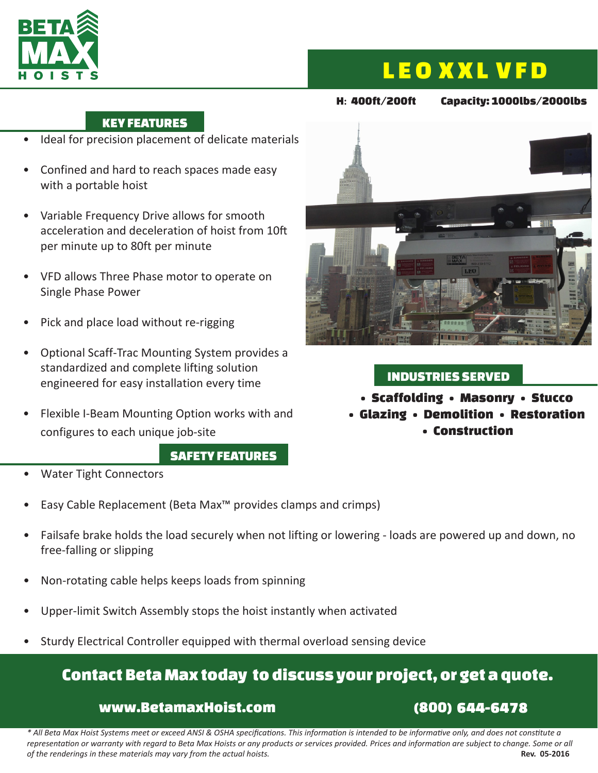

# LEO XXL VFD

#### H**:** 400ft/200ft Capacity: 1000lbs/2000lbs

#### KEY FEATURES

- Ideal for precision placement of delicate materials
- Confined and hard to reach spaces made easy with a portable hoist
- Variable Frequency Drive allows for smooth acceleration and deceleration of hoist from 10ft per minute up to 80ft per minute
- VFD allows Three Phase motor to operate on Single Phase Power
- Pick and place load without re-rigging
- Optional Scaff-Trac Mounting System provides a standardized and complete lifting solution engineered for easy installation every time
- Flexible I-Beam Mounting Option works with and configures to each unique job-site

#### SAFETY FEATURES



- Easy Cable Replacement (Beta Max™ provides clamps and crimps)
- Failsafe brake holds the load securely when not lifting or lowering loads are powered up and down, no free-falling or slipping
- Non-rotating cable helps keeps loads from spinning
- Upper-limit Switch Assembly stops the hoist instantly when activated
- Sturdy Electrical Controller equipped with thermal overload sensing device

### Contact Beta Max today to discuss your project, or get a quote.

#### www.BetamaxHoist.com (800) 644-6478

*\* All Beta Max Hoist Systems meet or exceed ANSI & OSHA specifications. This information is intended to be informative only, and does not constitute a representation or warranty with regard to Beta Max Hoists or any products or services provided. Prices and information are subject to change. Some or all of the renderings in these materials may vary from the actual hoists.* **But all a set of the renderings in these materials may vary from the actual hoists. Rev. 05-2016** 



#### INDUSTRIES SERVED

• Scaffolding • Masonry • Stucco

• Glazing • Demolition • Restoration • Construction